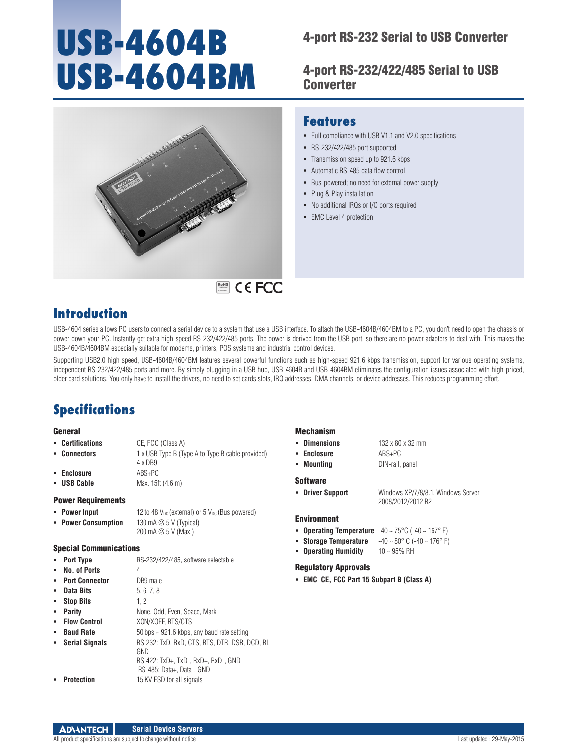# **USB-4604B USB-4604BM**

# 4-port RS-232 Serial to USB Converter

4-port RS-232/422/485 Serial to USB **Converter** 

Full compliance with USB V1.1 and V2.0 specifications

Bus-powered; no need for external power supply

No additional IRQs or I/O ports required



# RoHS **COMPLIANT** 2011/65/EU

# **Introduction**

USB-4604 series allows PC users to connect a serial device to a system that use a USB interface. To attach the USB-4604B/4604BM to a PC, you don't need to open the chassis or power down your PC. Instantly get extra high-speed RS-232/422/485 ports. The power is derived from the USB port, so there are no power adapters to deal with. This makes the USB-4604B/4604BM especially suitable for modems, printers, POS systems and industrial control devices.

Supporting USB2.0 high speed, USB-4604B/4604BM features several powerful functions such as high-speed 921.6 kbps transmission, support for various operating systems, independent RS-232/422/485 ports and more. By simply plugging in a USB hub, USB-4604B and USB-4604BM eliminates the configuration issues associated with high-priced, older card solutions. You only have to install the drivers, no need to set cards slots, IRQ addresses, DMA channels, or device addresses. This reduces programming effort.

# **Specifications**

#### General

- **Certifications** CE, FCC (Class A)
- **Connectors** 1 x USB Type B (Type A to Type B cable provided)
	- 4 x DB9
- **Enclosure** ABS+PC **USB Cable** Max. 15ft (4.6 m)

### Power Requirements

- **Power Input** 12 to 48  $V_{DC}$  (external) or 5  $V_{DC}$  (Bus powered)
- **Power Consumption** 130 mA @ 5 V (Typical) 200 mA @ 5 V (Max.)

#### Special Communications

- **Port Type RS-232/422/485, software selectable No. of Ports** 4
- **Port Connector** DB9 male
- 
- **Data Bits** 5, 6, 7, 8  **Stop Bits** 1, 2
- 
- **Parity None, Odd, Even, Space, Mark**
- **Flow Control** XON/XOFF, RTS/CTS
- **Baud Rate 50 bps ~ 921.6 kbps, any baud rate setting**
- **Serial Signals** RS-232: TxD, RxD, CTS, RTS, DTR, DSR, DCD, RI,
	- **GND** RS-422: TxD+, TxD-, RxD+, RxD-, GND

## RS-485: Data+, Data-, GND

**Protection 15 KV ESD for all signals** 

### **Mechanism**

- **Dimensions 132 x 80 x 32 mm**
- **Enclosure** ABS+PC
	- **Mounting DIN-rail, panel**

**Features**

 RS-232/422/485 port supported • Transmission speed up to 921.6 kbps Automatic RS-485 data flow control

• Plug & Play installation

**EMC** Level 4 protection

### **Software**

**Driver Support** Windows XP/7/8/8.1, Windows Server

### Environment

**Operating Temperature** -40 ~ 75°C (-40 ~ 167° F)

2008/2012/2012 R2

- **Storage Temperature** -40 ~ 80° C (-40 ~ 176° F)
- **Operating Humidity** 10 ~ 95% RH

### Regulatory Approvals

**EMC CE, FCC Part 15 Subpart B (Class A)**

**ADVANTECH Serial Device Servers**

#### All product specifications are subject to change without notice  $\blacksquare$

- 
-